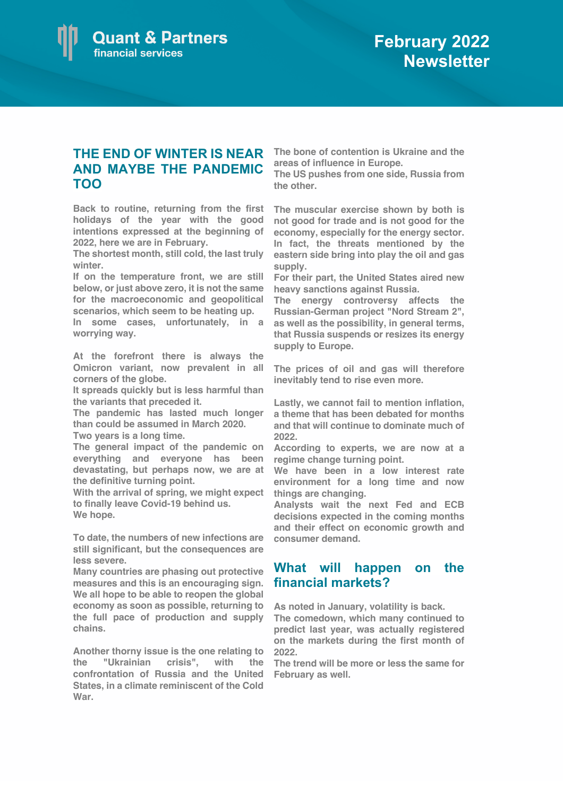

## **THE END OF WINTER IS NEAR The bone of contention is Ukraine and the AND MAYBE THE PANDEMIC TOO**

**Back to routine, returning from the first holidays of the year with the good intentions expressed at the beginning of 2022, here we are in February.** 

**The shortest month, still cold, the last truly winter.**

**If on the temperature front, we are still below, or just above zero, it is not the same for the macroeconomic and geopolitical scenarios, which seem to be heating up.**

**In some cases, unfortunately, in a worrying way.**

**At the forefront there is always the Omicron variant, now prevalent in all corners of the globe.** 

**It spreads quickly but is less harmful than the variants that preceded it.**

**The pandemic has lasted much longer than could be assumed in March 2020. Two years is a long time.** 

**The general impact of the pandemic on everything and everyone has been devastating, but perhaps now, we are at the definitive turning point.** 

**With the arrival of spring, we might expect to finally leave Covid-19 behind us. We hope.** 

**To date, the numbers of new infections are still significant, but the consequences are less severe.** 

**Many countries are phasing out protective measures and this is an encouraging sign. We all hope to be able to reopen the global economy as soon as possible, returning to the full pace of production and supply chains.**

**Another thorny issue is the one relating to the "Ukrainian crisis", with the confrontation of Russia and the United States, in a climate reminiscent of the Cold War.** 

**areas of influence in Europe.** 

**The US pushes from one side, Russia from the other.** 

**The muscular exercise shown by both is not good for trade and is not good for the economy, especially for the energy sector. In fact, the threats mentioned by the eastern side bring into play the oil and gas supply.** 

**For their part, the United States aired new heavy sanctions against Russia.** 

**The energy controversy affects the Russian-German project "Nord Stream 2", as well as the possibility, in general terms, that Russia suspends or resizes its energy supply to Europe.**

**The prices of oil and gas will therefore inevitably tend to rise even more.**

**Lastly, we cannot fail to mention inflation, a theme that has been debated for months and that will continue to dominate much of 2022.** 

**According to experts, we are now at a regime change turning point.** 

**We have been in a low interest rate environment for a long time and now things are changing.** 

**Analysts wait the next Fed and ECB decisions expected in the coming months and their effect on economic growth and consumer demand.**

## **What will happen on the financial markets?**

**As noted in January, volatility is back.**

**The comedown, which many continued to predict last year, was actually registered on the markets during the first month of 2022.**

**The trend will be more or less the same for February as well.**